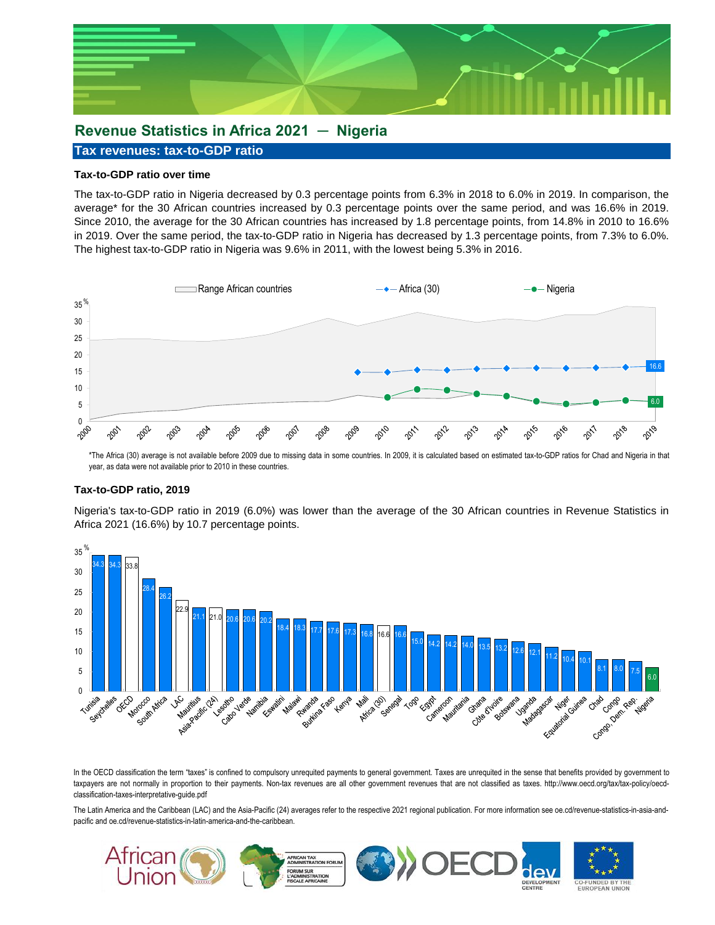

# **Revenue Statistics in Africa 2021 ─ Nigeria**

#### **Tax revenues: tax-to-GDP ratio**

### **Tax-to-GDP ratio over time**

The tax-to-GDP ratio in Nigeria decreased by 0.3 percentage points from 6.3% in 2018 to 6.0% in 2019. In comparison, the average\* for the 30 African countries increased by 0.3 percentage points over the same period, and was 16.6% in 2019. Since 2010, the average for the 30 African countries has increased by 1.8 percentage points, from 14.8% in 2010 to 16.6% in 2019. Over the same period, the tax-to-GDP ratio in Nigeria has decreased by 1.3 percentage points, from 7.3% to 6.0%. The highest tax-to-GDP ratio in Nigeria was 9.6% in 2011, with the lowest being 5.3% in 2016.



\*The Africa (30) average is not available before 2009 due to missing data in some countries. In 2009, it is calculated based on estimated tax-to-GDP ratios for Chad and Nigeria in that year, as data were not available prior to 2010 in these countries.

#### **Tax-to-GDP ratio, 2019**

Nigeria's tax-to-GDP ratio in 2019 (6.0%) was lower than the average of the 30 African countries in Revenue Statistics in Africa 2021 (16.6%) by 10.7 percentage points.



In the OECD classification the term "taxes" is confined to compulsory unrequited payments to general government. Taxes are unrequited in the sense that benefits provided by government to taxpayers are not normally in proportion to their payments. Non-tax revenues are all other government revenues that are not classified as taxes. http://www.oecd.org/tax/tax-policy/oecdclassification-taxes-interpretative-guide.pdf

The Latin America and the Caribbean (LAC) and the Asia-Pacific (24) averages refer to the respective 2021 regional publication. For more information see oe.cd/revenue-statistics-in-asia-andpacific and oe.cd/revenue-statistics-in-latin-america-and-the-caribbean.